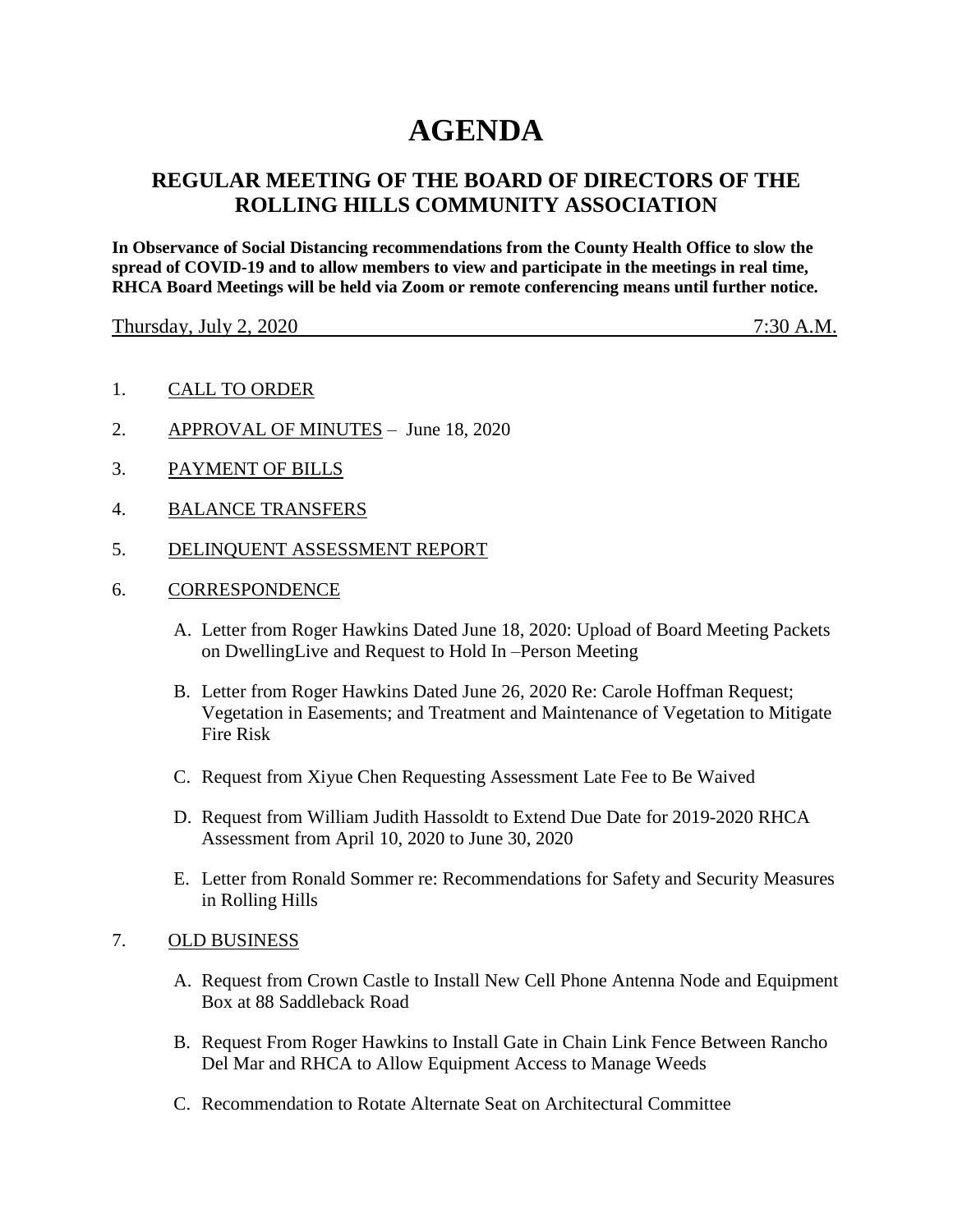# **AGENDA**

# **REGULAR MEETING OF THE BOARD OF DIRECTORS OF THE ROLLING HILLS COMMUNITY ASSOCIATION**

**In Observance of Social Distancing recommendations from the County Health Office to slow the spread of COVID-19 and to allow members to view and participate in the meetings in real time, RHCA Board Meetings will be held via Zoom or remote conferencing means until further notice.** 

Thursday, July 2, 2020 7:30 A.M.

- 1. CALL TO ORDER
- 2. APPROVAL OF MINUTES June 18, 2020
- 3. PAYMENT OF BILLS
- 4. BALANCE TRANSFERS
- 5. DELINQUENT ASSESSMENT REPORT
- 6. CORRESPONDENCE
	- A. Letter from Roger Hawkins Dated June 18, 2020: Upload of Board Meeting Packets on DwellingLive and Request to Hold In –Person Meeting
	- B. Letter from Roger Hawkins Dated June 26, 2020 Re: Carole Hoffman Request; Vegetation in Easements; and Treatment and Maintenance of Vegetation to Mitigate Fire Risk
	- C. Request from Xiyue Chen Requesting Assessment Late Fee to Be Waived
	- D. Request from William Judith Hassoldt to Extend Due Date for 2019-2020 RHCA Assessment from April 10, 2020 to June 30, 2020
	- E. Letter from Ronald Sommer re: Recommendations for Safety and Security Measures in Rolling Hills

# 7. OLD BUSINESS

- A. Request from Crown Castle to Install New Cell Phone Antenna Node and Equipment Box at 88 Saddleback Road
- B. Request From Roger Hawkins to Install Gate in Chain Link Fence Between Rancho Del Mar and RHCA to Allow Equipment Access to Manage Weeds
- C. Recommendation to Rotate Alternate Seat on Architectural Committee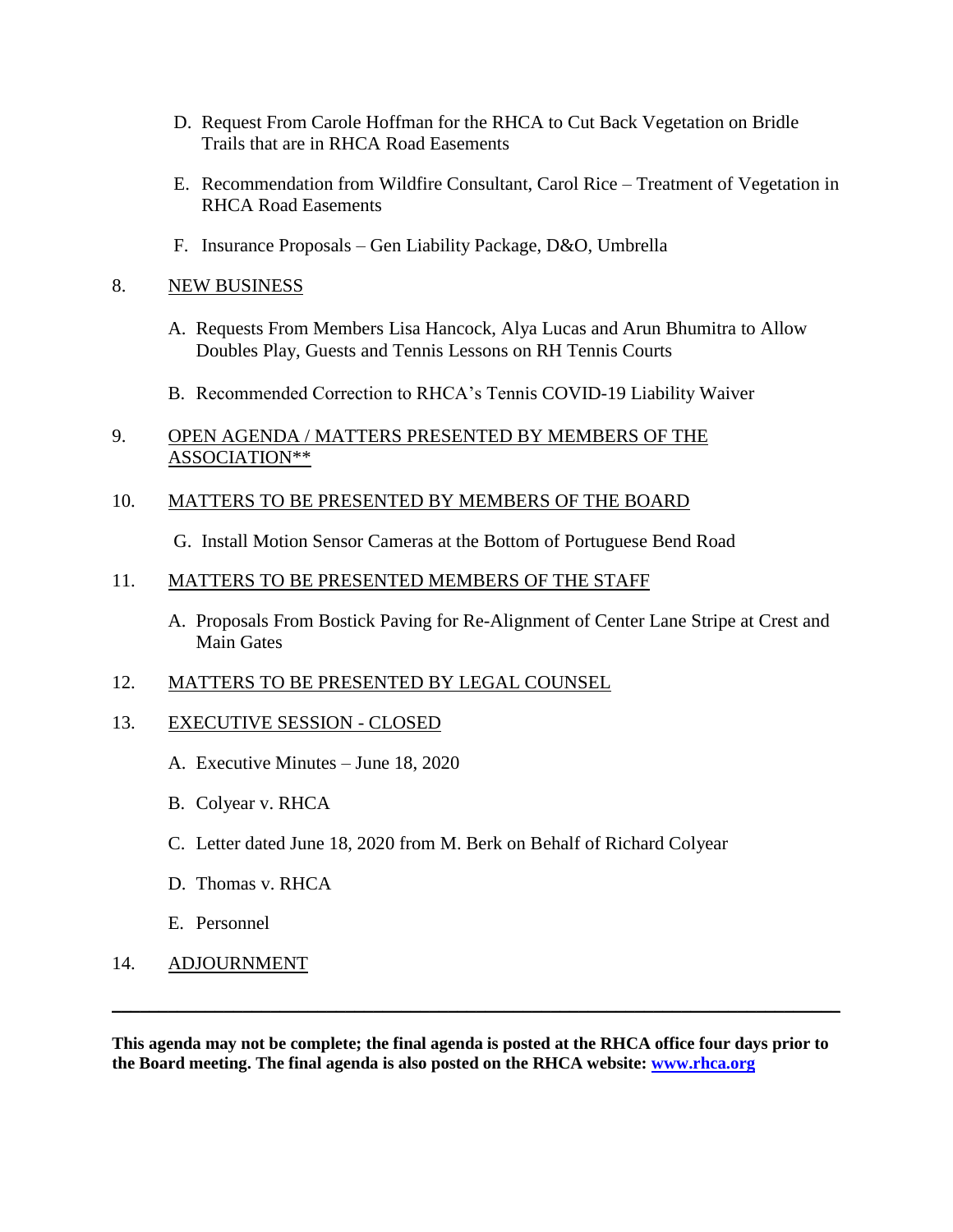- D. Request From Carole Hoffman for the RHCA to Cut Back Vegetation on Bridle Trails that are in RHCA Road Easements
- E. Recommendation from Wildfire Consultant, Carol Rice Treatment of Vegetation in RHCA Road Easements
- F. Insurance Proposals Gen Liability Package, D&O, Umbrella

# 8. NEW BUSINESS

- A. Requests From Members Lisa Hancock, Alya Lucas and Arun Bhumitra to Allow Doubles Play, Guests and Tennis Lessons on RH Tennis Courts
- B. Recommended Correction to RHCA's Tennis COVID-19 Liability Waiver

# 9. OPEN AGENDA / MATTERS PRESENTED BY MEMBERS OF THE ASSOCIATION\*\*

# 10. MATTERS TO BE PRESENTED BY MEMBERS OF THE BOARD

G. Install Motion Sensor Cameras at the Bottom of Portuguese Bend Road

# 11. MATTERS TO BE PRESENTED MEMBERS OF THE STAFF

A. Proposals From Bostick Paving for Re-Alignment of Center Lane Stripe at Crest and Main Gates

# 12. MATTERS TO BE PRESENTED BY LEGAL COUNSEL

# 13. EXECUTIVE SESSION - CLOSED

- A. Executive Minutes June 18, 2020
- B. Colyear v. RHCA
- C. Letter dated June 18, 2020 from M. Berk on Behalf of Richard Colyear
- D. Thomas v. RHCA
- E. Personnel
- 14. ADJOURNMENT

**This agenda may not be complete; the final agenda is posted at the RHCA office four days prior to the Board meeting. The final agenda is also posted on the RHCA website: [www.rhca.org](http://www.rhca.org/)**

\_\_\_\_\_\_\_\_\_\_\_\_\_\_\_\_\_\_\_\_\_\_\_\_\_\_\_\_\_\_\_\_\_\_\_\_\_\_\_\_\_\_\_\_\_\_\_\_\_\_\_\_\_\_\_\_\_\_\_\_\_\_\_\_\_\_\_\_\_\_\_\_\_\_\_\_\_\_